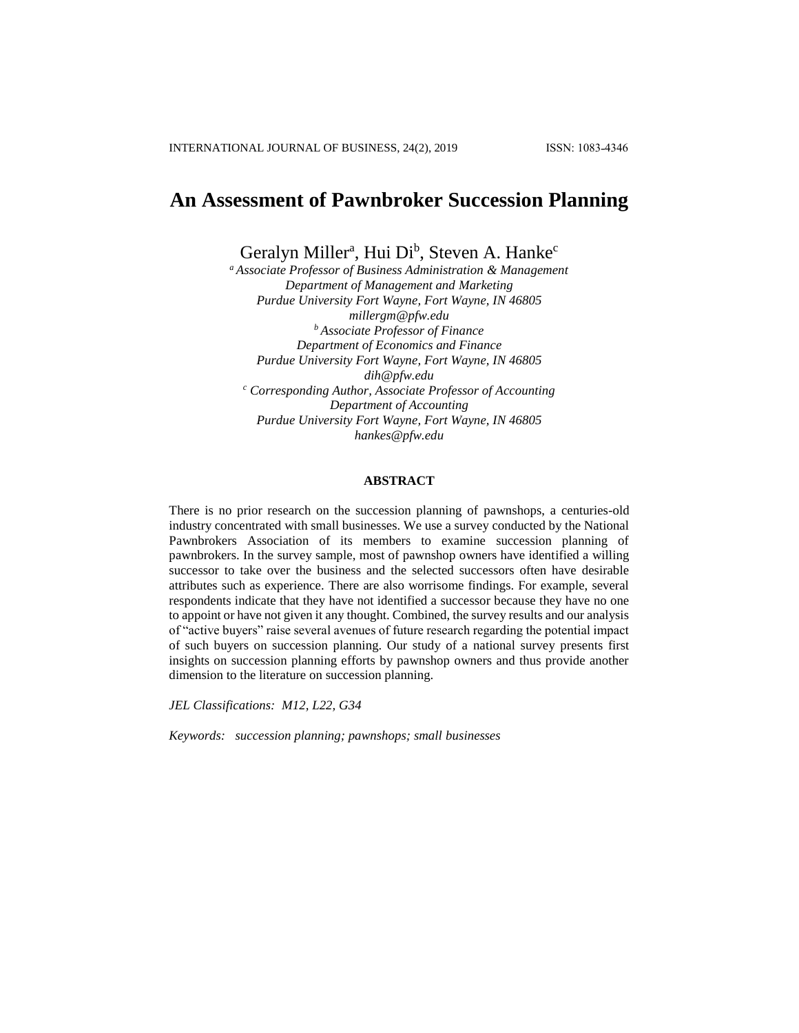# **An Assessment of Pawnbroker Succession Planning**

Geralyn Miller<sup>a</sup>, Hui Di<sup>b</sup>, Steven A. Hanke<sup>c</sup>

*<sup>a</sup> Associate Professor of Business Administration & Management Department of Management and Marketing Purdue University Fort Wayne, Fort Wayne, IN 46805 millergm@pfw.edu <sup>b</sup> Associate Professor of Finance Department of Economics and Finance Purdue University Fort Wayne, Fort Wayne, IN 46805 dih@pfw.edu <sup>c</sup> Corresponding Author, Associate Professor of Accounting Department of Accounting Purdue University Fort Wayne, Fort Wayne, IN 46805 [hankes@pfw.edu](mailto:hankes@pfw.edu)*

# **ABSTRACT**

There is no prior research on the succession planning of pawnshops, a centuries-old industry concentrated with small businesses. We use a survey conducted by the National Pawnbrokers Association of its members to examine succession planning of pawnbrokers. In the survey sample, most of pawnshop owners have identified a willing successor to take over the business and the selected successors often have desirable attributes such as experience. There are also worrisome findings. For example, several respondents indicate that they have not identified a successor because they have no one to appoint or have not given it any thought. Combined, the survey results and our analysis of "active buyers" raise several avenues of future research regarding the potential impact of such buyers on succession planning. Our study of a national survey presents first insights on succession planning efforts by pawnshop owners and thus provide another dimension to the literature on succession planning.

*JEL Classifications: M12, L22, G34*

*Keywords: succession planning; pawnshops; small businesses*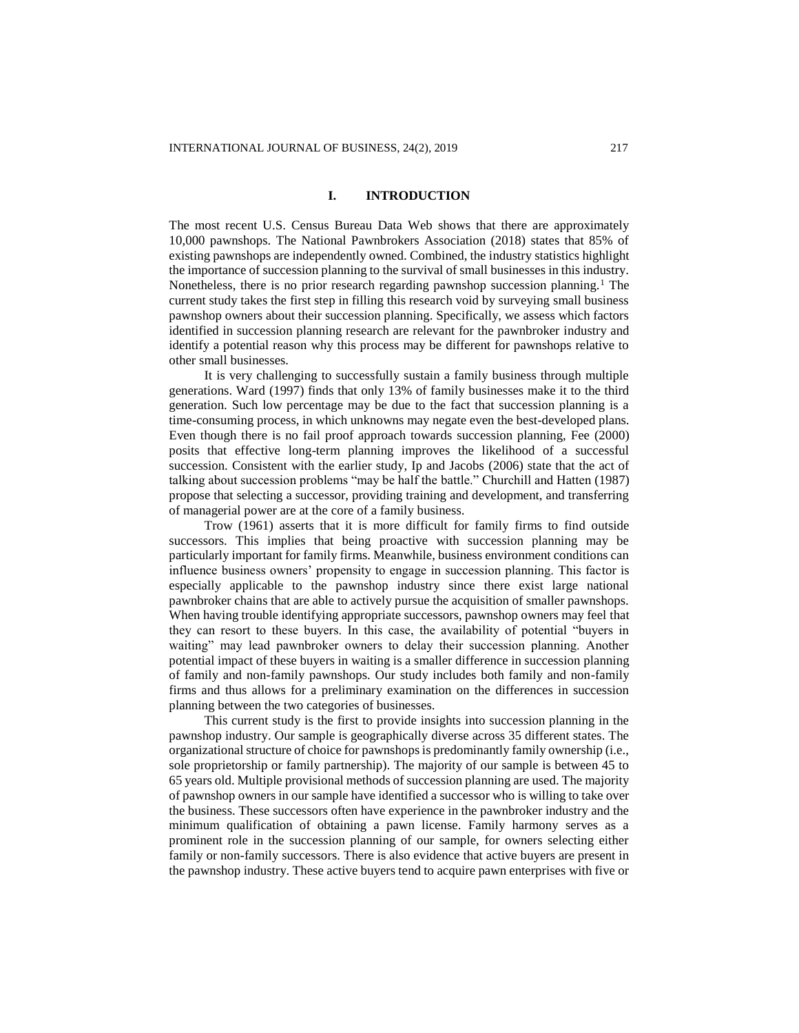#### **I. INTRODUCTION**

The most recent U.S. Census Bureau Data Web shows that there are approximately 10,000 pawnshops. The National Pawnbrokers Association (2018) states that 85% of existing pawnshops are independently owned. Combined, the industry statistics highlight the importance of succession planning to the survival of small businesses in this industry. Nonetheless, there is no prior research regarding pawnshop succession planning.<sup>1</sup> The current study takes the first step in filling this research void by surveying small business pawnshop owners about their succession planning. Specifically, we assess which factors identified in succession planning research are relevant for the pawnbroker industry and identify a potential reason why this process may be different for pawnshops relative to other small businesses.

It is very challenging to successfully sustain a family business through multiple generations. Ward (1997) finds that only 13% of family businesses make it to the third generation. Such low percentage may be due to the fact that succession planning is a time-consuming process, in which unknowns may negate even the best-developed plans. Even though there is no fail proof approach towards succession planning, Fee (2000) posits that effective long-term planning improves the likelihood of a successful succession. Consistent with the earlier study, Ip and Jacobs (2006) state that the act of talking about succession problems "may be half the battle." Churchill and Hatten (1987) propose that selecting a successor, providing training and development, and transferring of managerial power are at the core of a family business.

Trow (1961) asserts that it is more difficult for family firms to find outside successors. This implies that being proactive with succession planning may be particularly important for family firms. Meanwhile, business environment conditions can influence business owners' propensity to engage in succession planning. This factor is especially applicable to the pawnshop industry since there exist large national pawnbroker chains that are able to actively pursue the acquisition of smaller pawnshops. When having trouble identifying appropriate successors, pawnshop owners may feel that they can resort to these buyers. In this case, the availability of potential "buyers in waiting" may lead pawnbroker owners to delay their succession planning. Another potential impact of these buyers in waiting is a smaller difference in succession planning of family and non-family pawnshops. Our study includes both family and non-family firms and thus allows for a preliminary examination on the differences in succession planning between the two categories of businesses.

This current study is the first to provide insights into succession planning in the pawnshop industry. Our sample is geographically diverse across 35 different states. The organizational structure of choice for pawnshops is predominantly family ownership (i.e., sole proprietorship or family partnership). The majority of our sample is between 45 to 65 years old. Multiple provisional methods of succession planning are used. The majority of pawnshop owners in our sample have identified a successor who is willing to take over the business. These successors often have experience in the pawnbroker industry and the minimum qualification of obtaining a pawn license. Family harmony serves as a prominent role in the succession planning of our sample, for owners selecting either family or non-family successors. There is also evidence that active buyers are present in the pawnshop industry. These active buyers tend to acquire pawn enterprises with five or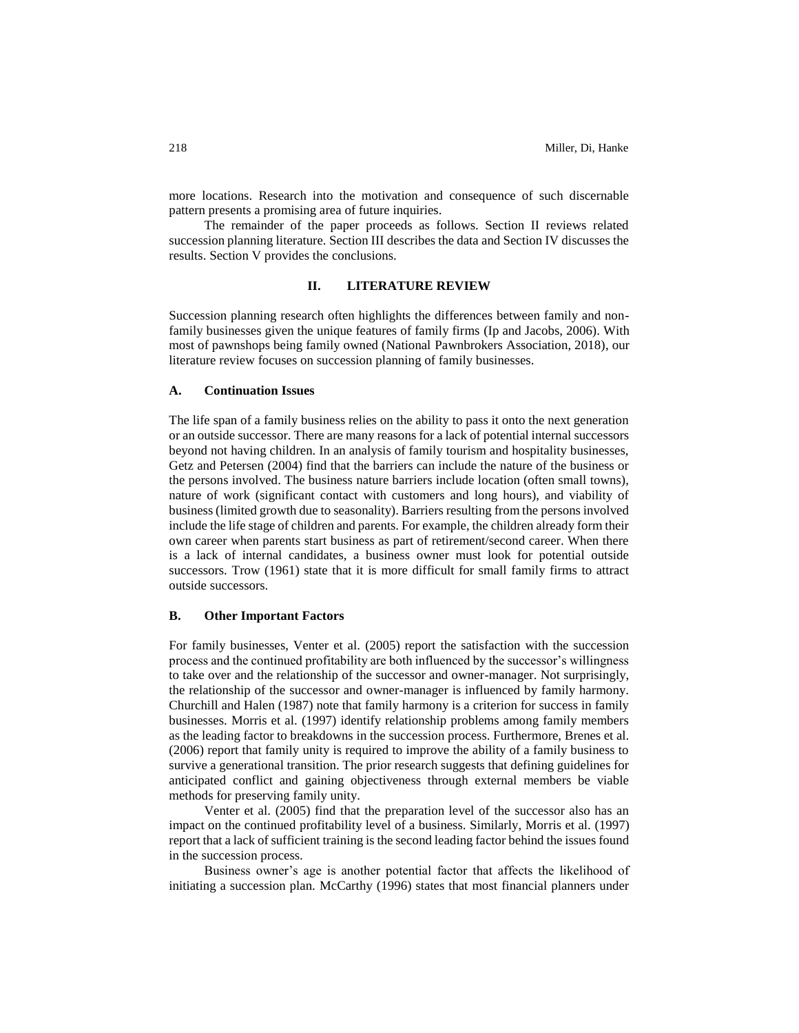more locations. Research into the motivation and consequence of such discernable pattern presents a promising area of future inquiries.

The remainder of the paper proceeds as follows. Section II reviews related succession planning literature. Section III describes the data and Section IV discusses the results. Section V provides the conclusions.

# **II. LITERATURE REVIEW**

Succession planning research often highlights the differences between family and nonfamily businesses given the unique features of family firms (Ip and Jacobs, 2006). With most of pawnshops being family owned (National Pawnbrokers Association, 2018), our literature review focuses on succession planning of family businesses.

# **A. Continuation Issues**

The life span of a family business relies on the ability to pass it onto the next generation or an outside successor. There are many reasons for a lack of potential internal successors beyond not having children. In an analysis of family tourism and hospitality businesses, Getz and Petersen (2004) find that the barriers can include the nature of the business or the persons involved. The business nature barriers include location (often small towns), nature of work (significant contact with customers and long hours), and viability of business (limited growth due to seasonality). Barriers resulting from the persons involved include the life stage of children and parents. For example, the children already form their own career when parents start business as part of retirement/second career. When there is a lack of internal candidates, a business owner must look for potential outside successors. Trow (1961) state that it is more difficult for small family firms to attract outside successors.

#### **B. Other Important Factors**

For family businesses, Venter et al. (2005) report the satisfaction with the succession process and the continued profitability are both influenced by the successor's willingness to take over and the relationship of the successor and owner-manager. Not surprisingly, the relationship of the successor and owner-manager is influenced by family harmony. Churchill and Halen (1987) note that family harmony is a criterion for success in family businesses. Morris et al. (1997) identify relationship problems among family members as the leading factor to breakdowns in the succession process. Furthermore, Brenes et al. (2006) report that family unity is required to improve the ability of a family business to survive a generational transition. The prior research suggests that defining guidelines for anticipated conflict and gaining objectiveness through external members be viable methods for preserving family unity.

Venter et al. (2005) find that the preparation level of the successor also has an impact on the continued profitability level of a business. Similarly, Morris et al. (1997) report that a lack of sufficient training is the second leading factor behind the issues found in the succession process.

Business owner's age is another potential factor that affects the likelihood of initiating a succession plan. McCarthy (1996) states that most financial planners under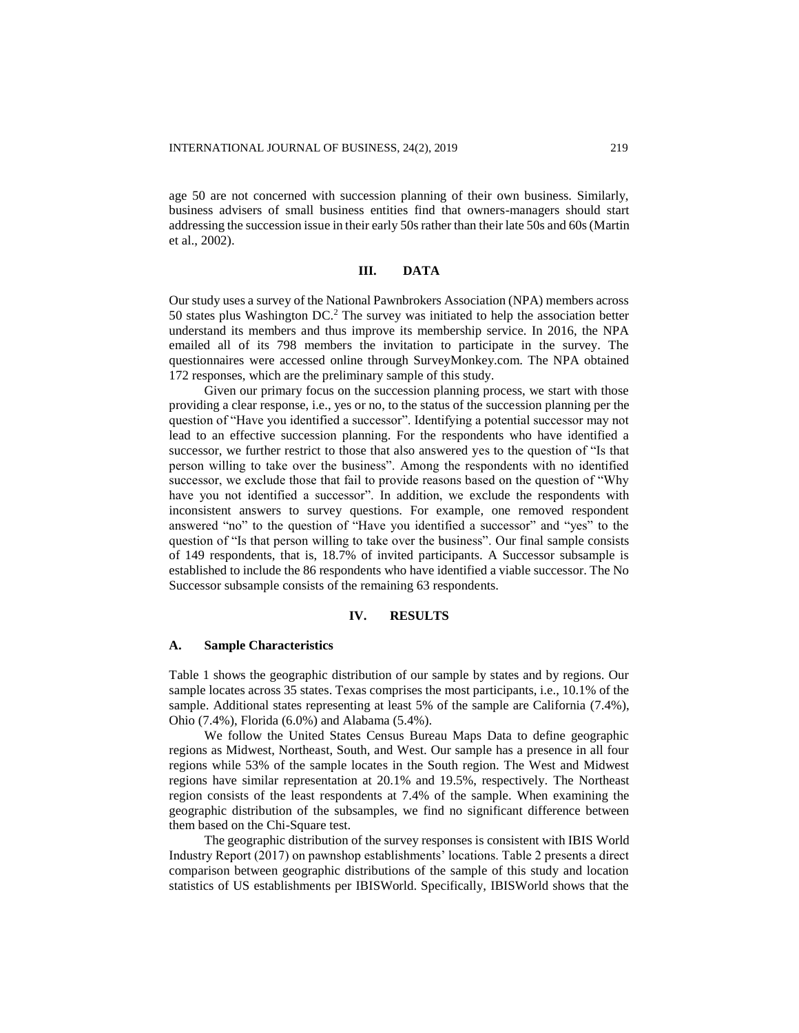age 50 are not concerned with succession planning of their own business. Similarly, business advisers of small business entities find that owners-managers should start addressing the succession issue in their early 50s rather than their late 50s and 60s (Martin et al., 2002).

# **III. DATA**

Our study uses a survey of the National Pawnbrokers Association (NPA) members across 50 states plus Washington DC.<sup>2</sup> The survey was initiated to help the association better understand its members and thus improve its membership service. In 2016, the NPA emailed all of its 798 members the invitation to participate in the survey. The questionnaires were accessed online through SurveyMonkey.com. The NPA obtained 172 responses, which are the preliminary sample of this study.

Given our primary focus on the succession planning process, we start with those providing a clear response, i.e., yes or no, to the status of the succession planning per the question of "Have you identified a successor". Identifying a potential successor may not lead to an effective succession planning. For the respondents who have identified a successor, we further restrict to those that also answered yes to the question of "Is that person willing to take over the business". Among the respondents with no identified successor, we exclude those that fail to provide reasons based on the question of "Why have you not identified a successor". In addition, we exclude the respondents with inconsistent answers to survey questions. For example, one removed respondent answered "no" to the question of "Have you identified a successor" and "yes" to the question of "Is that person willing to take over the business". Our final sample consists of 149 respondents, that is, 18.7% of invited participants. A Successor subsample is established to include the 86 respondents who have identified a viable successor. The No Successor subsample consists of the remaining 63 respondents.

#### **IV. RESULTS**

#### **A. Sample Characteristics**

Table 1 shows the geographic distribution of our sample by states and by regions. Our sample locates across 35 states. Texas comprises the most participants, i.e., 10.1% of the sample. Additional states representing at least 5% of the sample are California (7.4%), Ohio (7.4%), Florida (6.0%) and Alabama (5.4%).

We follow the United States Census Bureau Maps Data to define geographic regions as Midwest, Northeast, South, and West. Our sample has a presence in all four regions while 53% of the sample locates in the South region. The West and Midwest regions have similar representation at 20.1% and 19.5%, respectively. The Northeast region consists of the least respondents at 7.4% of the sample. When examining the geographic distribution of the subsamples, we find no significant difference between them based on the Chi-Square test.

The geographic distribution of the survey responses is consistent with IBIS World Industry Report (2017) on pawnshop establishments' locations. Table 2 presents a direct comparison between geographic distributions of the sample of this study and location statistics of US establishments per IBISWorld. Specifically, IBISWorld shows that the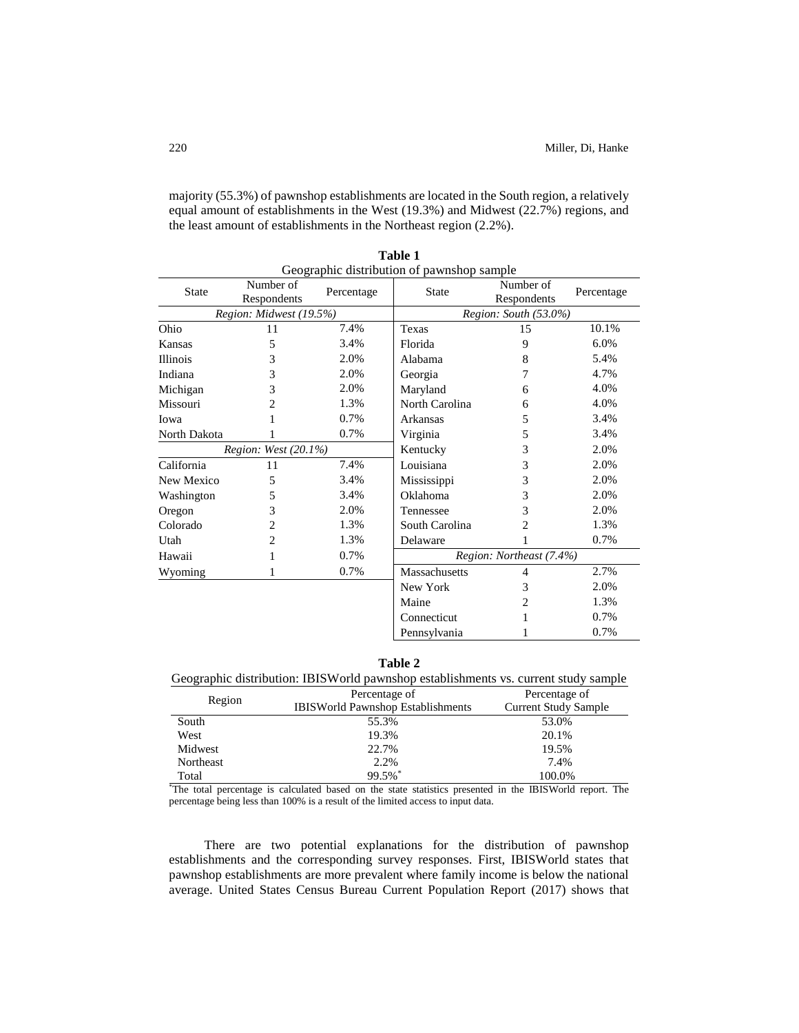majority (55.3%) of pawnshop establishments are located in the South region, a relatively equal amount of establishments in the West (19.3%) and Midwest (22.7%) regions, and the least amount of establishments in the Northeast region (2.2%).

| Geographic distribution of pawnshop sample |                          |            |                          |                          |            |
|--------------------------------------------|--------------------------|------------|--------------------------|--------------------------|------------|
| <b>State</b>                               | Number of<br>Respondents | Percentage | <b>State</b>             | Number of<br>Respondents | Percentage |
|                                            | Region: Midwest (19.5%)  |            |                          | Region: South (53.0%)    |            |
| Ohio                                       | 11                       | 7.4%       | Texas                    | 15                       | 10.1%      |
| Kansas                                     | 5                        | 3.4%       | Florida                  | 9                        | 6.0%       |
| <b>Illinois</b>                            | 3                        | 2.0%       | Alabama                  | 8                        | 5.4%       |
| Indiana                                    | 3                        | 2.0%       | Georgia                  | 7                        | 4.7%       |
| Michigan                                   | 3                        | 2.0%       | Maryland                 | 6                        | 4.0%       |
| Missouri                                   | 2                        | 1.3%       | North Carolina           | 6                        | 4.0%       |
| Iowa                                       | 1                        | 0.7%       | Arkansas                 | 5                        | 3.4%       |
| North Dakota                               | 1                        | 0.7%       | Virginia                 | 5                        | 3.4%       |
|                                            | Region: West (20.1%)     |            | Kentucky                 | 3                        | 2.0%       |
| California                                 | 11                       | 7.4%       | Louisiana                | 3                        | 2.0%       |
| New Mexico                                 | 5                        | 3.4%       | Mississippi              | 3                        | 2.0%       |
| Washington                                 | 5                        | 3.4%       | Oklahoma                 | 3                        | 2.0%       |
| Oregon                                     | 3                        | 2.0%       | Tennessee                | 3                        | 2.0%       |
| Colorado                                   | $\overline{c}$           | 1.3%       | South Carolina           | $\overline{c}$           | 1.3%       |
| Utah                                       | $\mathfrak{D}$           | 1.3%       | Delaware                 |                          | 0.7%       |
| Hawaii                                     |                          | 0.7%       | Region: Northeast (7.4%) |                          |            |
| Wyoming                                    |                          | 0.7%       | <b>Massachusetts</b>     | 4                        | 2.7%       |
|                                            |                          |            | New York                 | 3                        | 2.0%       |
|                                            |                          |            | Maine                    | 2                        | 1.3%       |
|                                            |                          |            | Connecticut              |                          | 0.7%       |
| Pennsylvania                               |                          |            |                          |                          | 0.7%       |

| Table 1                                   |  |  |
|-------------------------------------------|--|--|
| Geographic distribution of pawnshop sampl |  |  |

| m<br>n |  |
|--------|--|
|--------|--|

| Geographic distribution: IBISWorld pawnshop establishments vs. current study sample |                                          |                             |  |
|-------------------------------------------------------------------------------------|------------------------------------------|-----------------------------|--|
|                                                                                     | Percentage of                            | Percentage of               |  |
| Region                                                                              | <b>IBISWorld Pawnshop Establishments</b> | <b>Current Study Sample</b> |  |
| South                                                                               | 55.3%                                    | 53.0%                       |  |
| West                                                                                | 19.3%                                    | 20.1%                       |  |
| Midwest                                                                             | 22.7%                                    | 19.5%                       |  |
| Northeast                                                                           | 2.2%                                     | 7.4%                        |  |
| Total                                                                               | 99.5%*                                   | 100.0%                      |  |

\*The total percentage is calculated based on the state statistics presented in the IBISWorld report. The percentage being less than 100% is a result of the limited access to input data.

There are two potential explanations for the distribution of pawnshop establishments and the corresponding survey responses. First, IBISWorld states that pawnshop establishments are more prevalent where family income is below the national average. United States Census Bureau Current Population Report (2017) shows that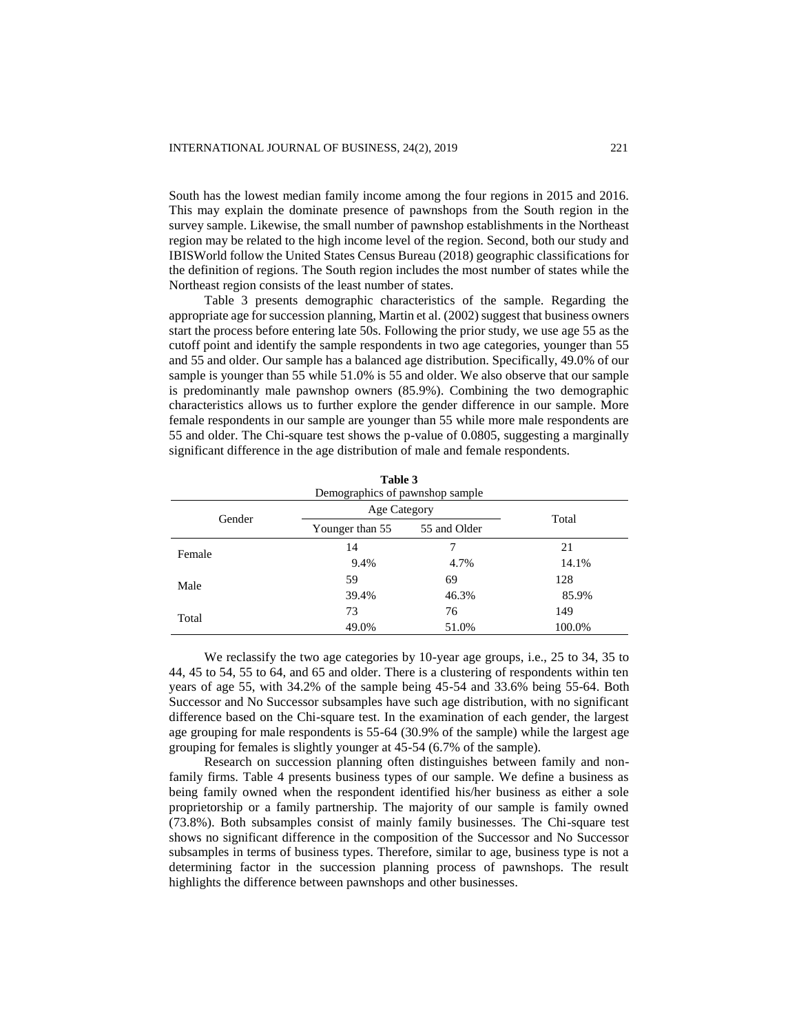South has the lowest median family income among the four regions in 2015 and 2016. This may explain the dominate presence of pawnshops from the South region in the survey sample. Likewise, the small number of pawnshop establishments in the Northeast region may be related to the high income level of the region. Second, both our study and IBISWorld follow the United States Census Bureau (2018) geographic classifications for the definition of regions. The South region includes the most number of states while the Northeast region consists of the least number of states.

Table 3 presents demographic characteristics of the sample. Regarding the appropriate age for succession planning, Martin et al. (2002) suggest that business owners start the process before entering late 50s. Following the prior study, we use age 55 as the cutoff point and identify the sample respondents in two age categories, younger than 55 and 55 and older. Our sample has a balanced age distribution. Specifically, 49.0% of our sample is younger than 55 while 51.0% is 55 and older. We also observe that our sample is predominantly male pawnshop owners (85.9%). Combining the two demographic characteristics allows us to further explore the gender difference in our sample. More female respondents in our sample are younger than 55 while more male respondents are 55 and older. The Chi-square test shows the p-value of 0.0805, suggesting a marginally significant difference in the age distribution of male and female respondents.

| Table 3 |                                 |              |        |  |
|---------|---------------------------------|--------------|--------|--|
|         | Demographics of pawnshop sample |              |        |  |
| Gender  | Age Category                    | Total        |        |  |
|         | Younger than 55                 | 55 and Older |        |  |
| Female  | 14                              | 7            | 21     |  |
|         | 9.4%                            | 4.7%         | 14.1%  |  |
| Male    | 59                              | 69           | 128    |  |
|         | 39.4%                           | 46.3%        | 85.9%  |  |
| Total   | 73                              | 76           | 149    |  |
|         | 49.0%                           | 51.0%        | 100.0% |  |

We reclassify the two age categories by 10-year age groups, i.e., 25 to 34, 35 to 44, 45 to 54, 55 to 64, and 65 and older. There is a clustering of respondents within ten years of age 55, with 34.2% of the sample being 45-54 and 33.6% being 55-64. Both Successor and No Successor subsamples have such age distribution, with no significant difference based on the Chi-square test. In the examination of each gender, the largest age grouping for male respondents is 55-64 (30.9% of the sample) while the largest age grouping for females is slightly younger at 45-54 (6.7% of the sample).

Research on succession planning often distinguishes between family and nonfamily firms. Table 4 presents business types of our sample. We define a business as being family owned when the respondent identified his/her business as either a sole proprietorship or a family partnership. The majority of our sample is family owned (73.8%). Both subsamples consist of mainly family businesses. The Chi-square test shows no significant difference in the composition of the Successor and No Successor subsamples in terms of business types. Therefore, similar to age, business type is not a determining factor in the succession planning process of pawnshops. The result highlights the difference between pawnshops and other businesses.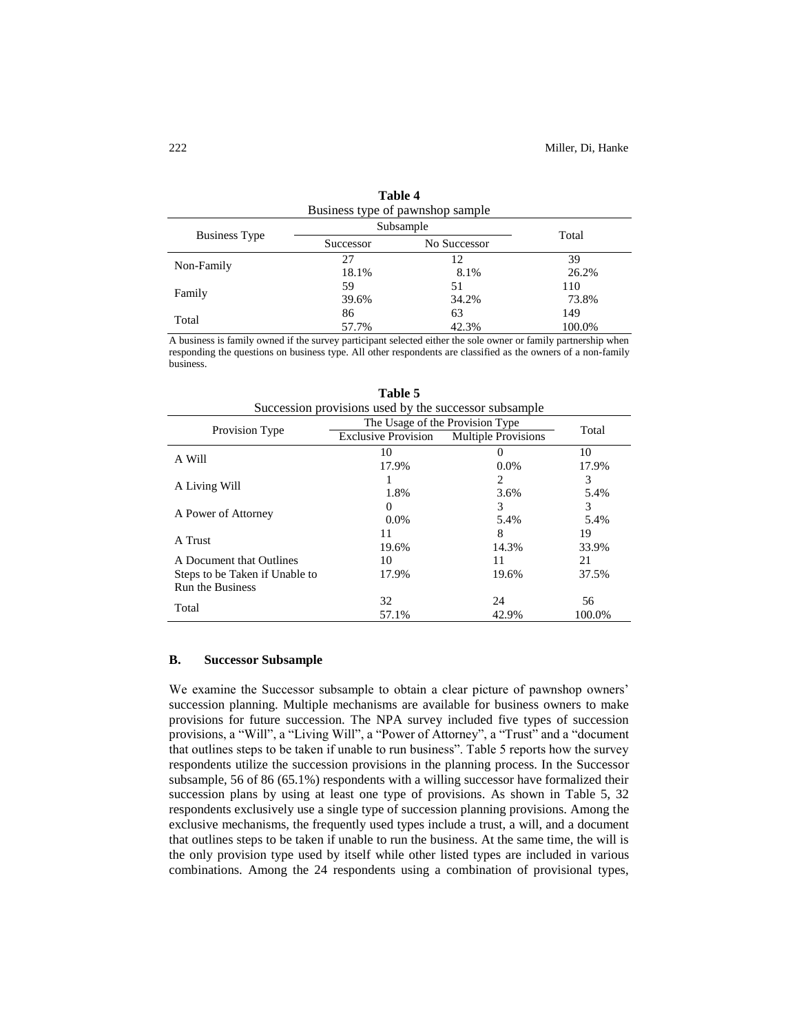| Business type of pawnshop sample |           |              |        |  |
|----------------------------------|-----------|--------------|--------|--|
|                                  | Subsample | Total        |        |  |
| <b>Business Type</b>             | Successor | No Successor |        |  |
| Non-Family                       | 27        | 12           | 39     |  |
|                                  | 18.1%     | 8.1%         | 26.2%  |  |
|                                  | 59        | 51           | 110    |  |
| Family                           | 39.6%     | 34.2%        | 73.8%  |  |
| Total                            | 86        | 63           | 149    |  |
|                                  | 57.7%     | 42.3%        | 100.0% |  |

**Table 4**

A business is family owned if the survey participant selected either the sole owner or family partnership when responding the questions on business type. All other respondents are classified as the owners of a non-family business.

| Succession provisions used by the successor subsample |                                 |                            |        |  |
|-------------------------------------------------------|---------------------------------|----------------------------|--------|--|
|                                                       | The Usage of the Provision Type |                            |        |  |
| Provision Type                                        | <b>Exclusive Provision</b>      | <b>Multiple Provisions</b> | Total  |  |
| A Will                                                | 10                              | $\theta$                   | 10     |  |
|                                                       | 17.9%                           | $0.0\%$                    | 17.9%  |  |
| A Living Will                                         |                                 | 2                          | 3      |  |
|                                                       | 1.8%                            | 3.6%                       | 5.4%   |  |
| A Power of Attorney                                   | 0                               | 3                          | 3      |  |
|                                                       | $0.0\%$                         | 5.4%                       | 5.4%   |  |
| A Trust                                               | 11                              | 8                          | 19     |  |
|                                                       | 19.6%                           | 14.3%                      | 33.9%  |  |
| A Document that Outlines                              | 10                              | 11                         | 21     |  |
| Steps to be Taken if Unable to                        | 17.9%                           | 19.6%                      | 37.5%  |  |
| <b>Run the Business</b>                               |                                 |                            |        |  |
| Total                                                 | 32                              | 24                         | 56     |  |
|                                                       | 57.1%                           | 42.9%                      | 100.0% |  |

**Table 5**

# **B. Successor Subsample**

We examine the Successor subsample to obtain a clear picture of pawnshop owners' succession planning. Multiple mechanisms are available for business owners to make provisions for future succession. The NPA survey included five types of succession provisions, a "Will", a "Living Will", a "Power of Attorney", a "Trust" and a "document that outlines steps to be taken if unable to run business". Table 5 reports how the survey respondents utilize the succession provisions in the planning process. In the Successor subsample, 56 of 86 (65.1%) respondents with a willing successor have formalized their succession plans by using at least one type of provisions. As shown in Table 5, 32 respondents exclusively use a single type of succession planning provisions. Among the exclusive mechanisms, the frequently used types include a trust, a will, and a document that outlines steps to be taken if unable to run the business. At the same time, the will is the only provision type used by itself while other listed types are included in various combinations. Among the 24 respondents using a combination of provisional types,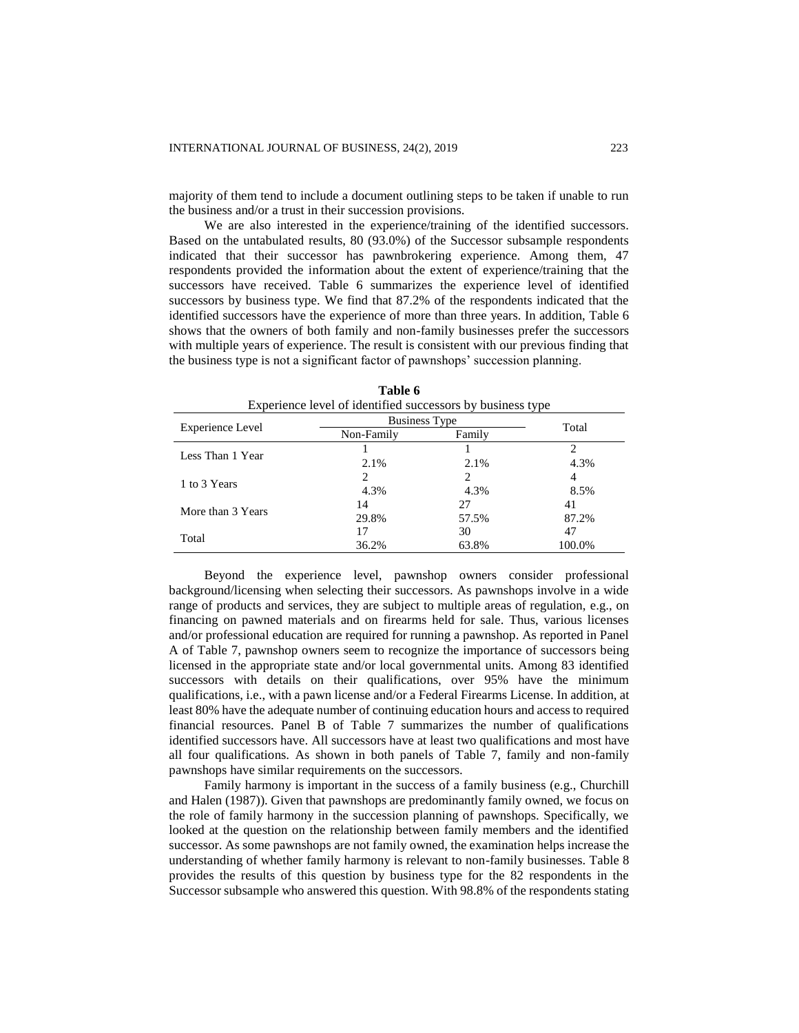majority of them tend to include a document outlining steps to be taken if unable to run the business and/or a trust in their succession provisions.

We are also interested in the experience/training of the identified successors. Based on the untabulated results, 80 (93.0%) of the Successor subsample respondents indicated that their successor has pawnbrokering experience. Among them, 47 respondents provided the information about the extent of experience/training that the successors have received. Table 6 summarizes the experience level of identified successors by business type. We find that 87.2% of the respondents indicated that the identified successors have the experience of more than three years. In addition, Table 6 shows that the owners of both family and non-family businesses prefer the successors with multiple years of experience. The result is consistent with our previous finding that the business type is not a significant factor of pawnshops' succession planning.

|                   | <b>Business Type</b> |       |        |  |
|-------------------|----------------------|-------|--------|--|
| Experience Level  | Non-Family<br>Family |       | Total  |  |
| Less Than 1 Year  |                      |       |        |  |
|                   | 2.1%                 | 2.1%  | 4.3%   |  |
| 1 to 3 Years      |                      |       | 4      |  |
|                   | 4.3%                 | 4.3%  | 8.5%   |  |
| More than 3 Years | 14                   | 27    | 41     |  |
|                   | 29.8%                | 57.5% | 87.2%  |  |
| Total             | 17                   | 30    | 47     |  |
|                   | 36.2%                | 63.8% | 100.0% |  |

**Table 6** Experience level of identified successors by business type

Beyond the experience level, pawnshop owners consider professional background/licensing when selecting their successors. As pawnshops involve in a wide range of products and services, they are subject to multiple areas of regulation, e.g., on financing on pawned materials and on firearms held for sale. Thus, various licenses and/or professional education are required for running a pawnshop. As reported in Panel A of Table 7, pawnshop owners seem to recognize the importance of successors being licensed in the appropriate state and/or local governmental units. Among 83 identified successors with details on their qualifications, over 95% have the minimum qualifications, i.e., with a pawn license and/or a Federal Firearms License. In addition, at least 80% have the adequate number of continuing education hours and access to required financial resources. Panel B of Table 7 summarizes the number of qualifications identified successors have. All successors have at least two qualifications and most have all four qualifications. As shown in both panels of Table 7, family and non-family pawnshops have similar requirements on the successors.

Family harmony is important in the success of a family business (e.g., Churchill and Halen (1987)). Given that pawnshops are predominantly family owned, we focus on the role of family harmony in the succession planning of pawnshops. Specifically, we looked at the question on the relationship between family members and the identified successor. As some pawnshops are not family owned, the examination helps increase the understanding of whether family harmony is relevant to non-family businesses. Table 8 provides the results of this question by business type for the 82 respondents in the Successor subsample who answered this question. With 98.8% of the respondents stating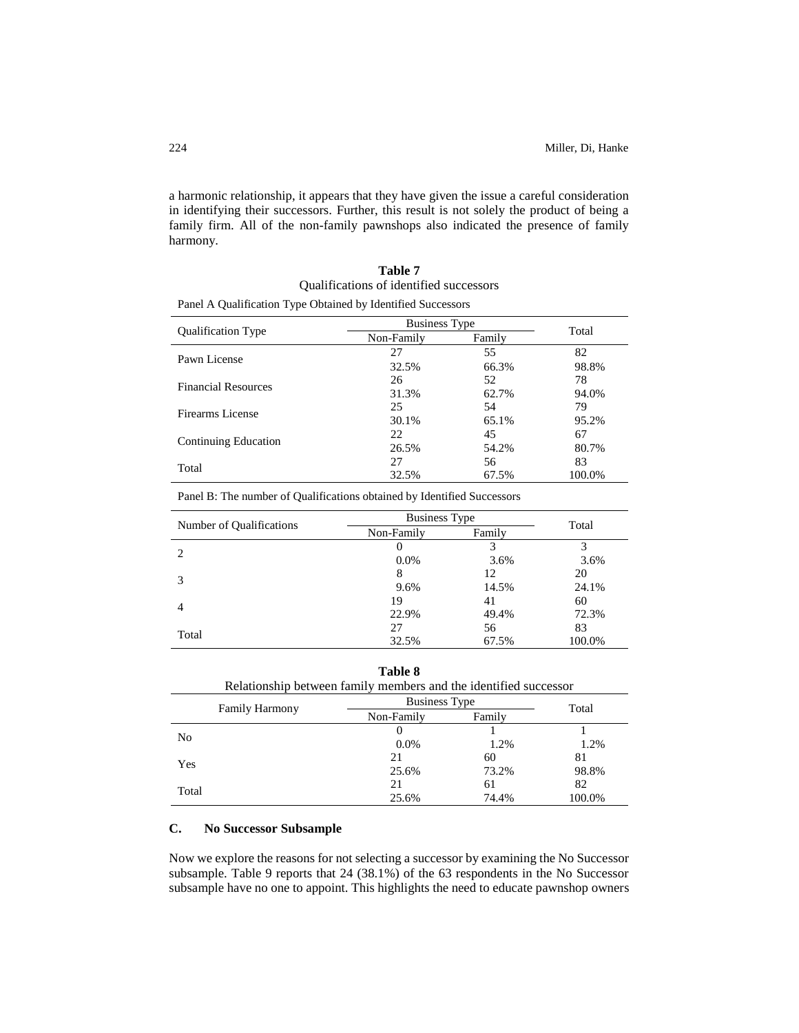a harmonic relationship, it appears that they have given the issue a careful consideration in identifying their successors. Further, this result is not solely the product of being a family firm. All of the non-family pawnshops also indicated the presence of family harmony.

| Table 7                                 |
|-----------------------------------------|
| Qualifications of identified successors |

| Panel A Qualification Type Obtained by Identified Successors |  |  |
|--------------------------------------------------------------|--|--|
|--------------------------------------------------------------|--|--|

| <b>Qualification Type</b>  | <b>Business Type</b> | Total  |        |
|----------------------------|----------------------|--------|--------|
|                            | Non-Family           | Family |        |
| Pawn License               | 27                   | 55     | 82     |
|                            | 32.5%                | 66.3%  | 98.8%  |
| <b>Financial Resources</b> | 26                   | 52     | 78     |
|                            | 31.3%                | 62.7%  | 94.0%  |
| Firearms License           | 25                   | 54     | 79     |
|                            | 30.1%                | 65.1%  | 95.2%  |
|                            | 22                   | 45     | 67     |
| Continuing Education       | 26.5%                | 54.2%  | 80.7%  |
| Total                      | 27                   | 56     | 83     |
|                            | 32.5%                | 67.5%  | 100.0% |

Panel B: The number of Qualifications obtained by Identified Successors

| Number of Qualifications | <b>Business Type</b> |        | Total  |
|--------------------------|----------------------|--------|--------|
|                          | Non-Family           | Family |        |
| 2                        |                      |        | 3      |
|                          | $0.0\%$              | 3.6%   | 3.6%   |
| 3                        | 8                    | 12     | 20     |
|                          | 9.6%                 | 14.5%  | 24.1%  |
| $\overline{4}$           | 19                   | 41     | 60     |
|                          | 22.9%                | 49.4%  | 72.3%  |
|                          | 27                   | 56     | 83     |
| Total                    | 32.5%                | 67.5%  | 100.0% |

# **Table 8**

| Relationship between family members and the identified successor |                      |        |        |  |
|------------------------------------------------------------------|----------------------|--------|--------|--|
| <b>Family Harmony</b>                                            | <b>Business Type</b> |        | Total  |  |
|                                                                  | Non-Family           | Family |        |  |
| N <sub>0</sub>                                                   |                      |        |        |  |
|                                                                  | $0.0\%$              | 1.2%   | 1.2%   |  |
| Yes                                                              | 21                   | 60     | 81     |  |
|                                                                  | 25.6%                | 73.2%  | 98.8%  |  |
|                                                                  | 21                   | 61     | 82     |  |
| Total                                                            | 25.6%                | 74.4%  | 100.0% |  |

# **C. No Successor Subsample**

Now we explore the reasons for not selecting a successor by examining the No Successor subsample. Table 9 reports that 24 (38.1%) of the 63 respondents in the No Successor subsample have no one to appoint. This highlights the need to educate pawnshop owners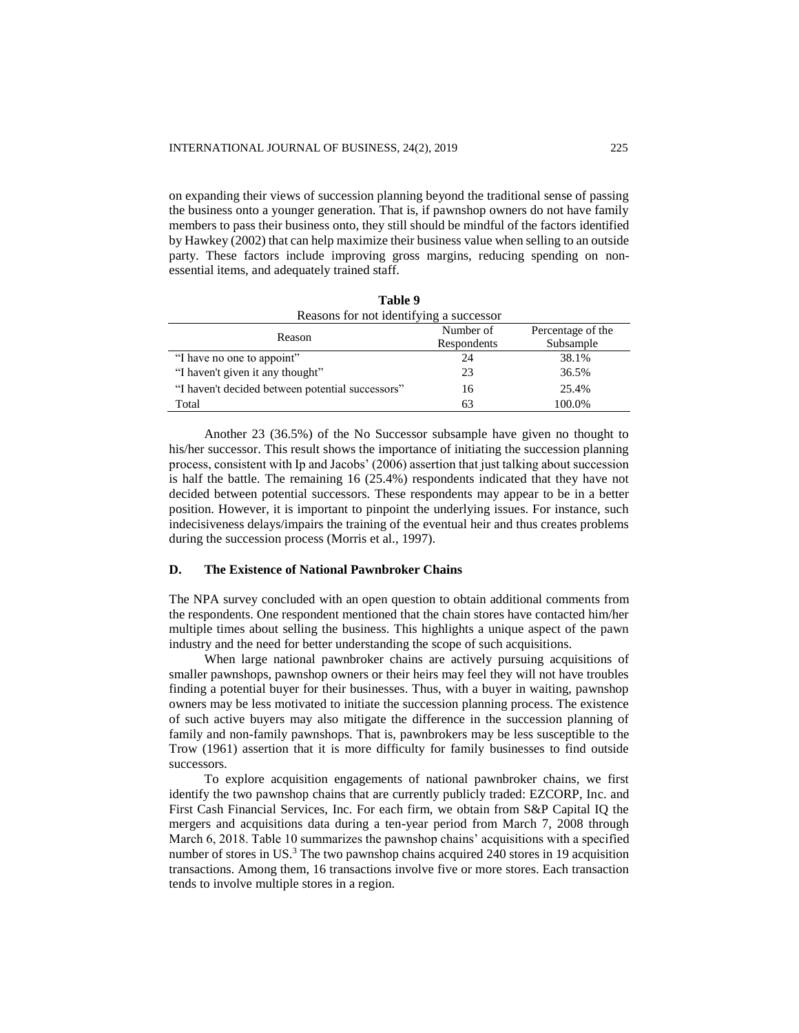on expanding their views of succession planning beyond the traditional sense of passing the business onto a younger generation. That is, if pawnshop owners do not have family members to pass their business onto, they still should be mindful of the factors identified by Hawkey (2002) that can help maximize their business value when selling to an outside party. These factors include improving gross margins, reducing spending on nonessential items, and adequately trained staff.

**Table 9**

| таріє 9                                          |             |                   |  |  |  |
|--------------------------------------------------|-------------|-------------------|--|--|--|
| Reasons for not identifying a successor          |             |                   |  |  |  |
| Reason                                           | Number of   | Percentage of the |  |  |  |
|                                                  | Respondents | Subsample         |  |  |  |
| "I have no one to appoint"                       | 24          | 38.1%             |  |  |  |
| "I haven't given it any thought"                 | 23          | 36.5%             |  |  |  |
| "I haven't decided between potential successors" | 16          | 25.4%             |  |  |  |
| Total                                            | 63          | 100.0%            |  |  |  |

Another 23 (36.5%) of the No Successor subsample have given no thought to his/her successor. This result shows the importance of initiating the succession planning process, consistent with Ip and Jacobs' (2006) assertion that just talking about succession is half the battle. The remaining 16 (25.4%) respondents indicated that they have not decided between potential successors. These respondents may appear to be in a better position. However, it is important to pinpoint the underlying issues. For instance, such indecisiveness delays/impairs the training of the eventual heir and thus creates problems during the succession process (Morris et al., 1997).

## **D. The Existence of National Pawnbroker Chains**

The NPA survey concluded with an open question to obtain additional comments from the respondents. One respondent mentioned that the chain stores have contacted him/her multiple times about selling the business. This highlights a unique aspect of the pawn industry and the need for better understanding the scope of such acquisitions.

When large national pawnbroker chains are actively pursuing acquisitions of smaller pawnshops, pawnshop owners or their heirs may feel they will not have troubles finding a potential buyer for their businesses. Thus, with a buyer in waiting, pawnshop owners may be less motivated to initiate the succession planning process. The existence of such active buyers may also mitigate the difference in the succession planning of family and non-family pawnshops. That is, pawnbrokers may be less susceptible to the Trow (1961) assertion that it is more difficulty for family businesses to find outside successors.

To explore acquisition engagements of national pawnbroker chains, we first identify the two pawnshop chains that are currently publicly traded: EZCORP, Inc. and First Cash Financial Services, Inc. For each firm, we obtain from S&P Capital IQ the mergers and acquisitions data during a ten-year period from March 7, 2008 through March 6, 2018. Table 10 summarizes the pawnshop chains' acquisitions with a specified number of stores in US.<sup>3</sup> The two pawnshop chains acquired 240 stores in 19 acquisition transactions. Among them, 16 transactions involve five or more stores. Each transaction tends to involve multiple stores in a region.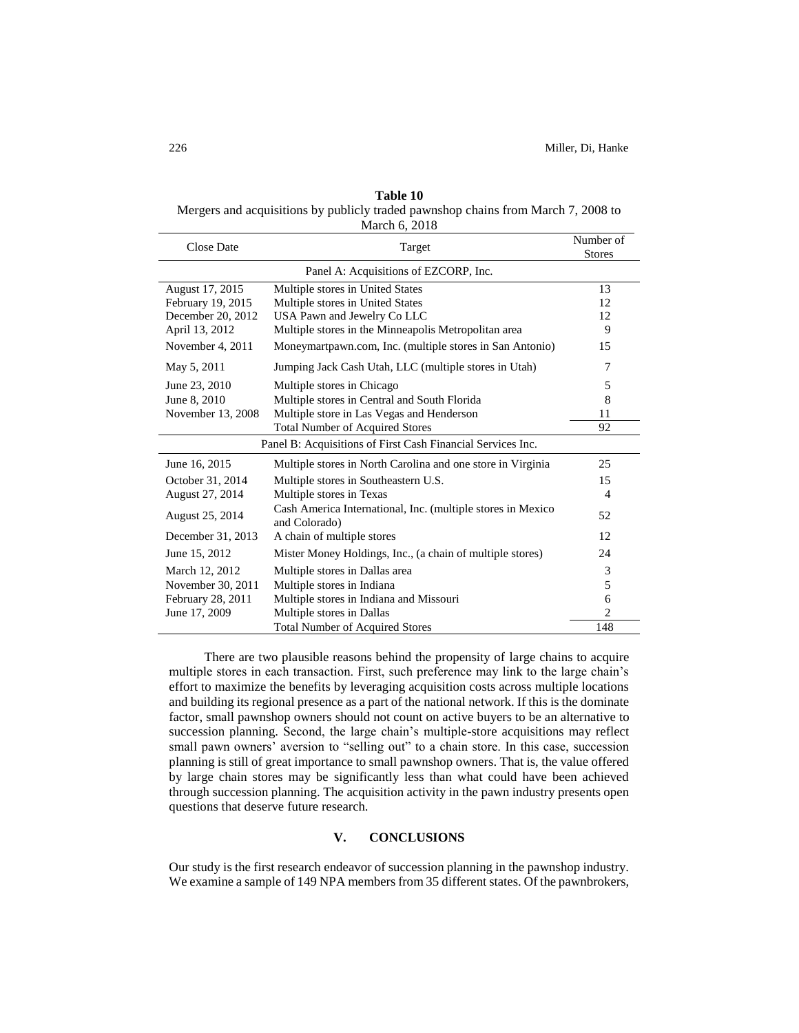| Table 10                                                                          |
|-----------------------------------------------------------------------------------|
| Mergers and acquisitions by publicly traded pawnshop chains from March 7, 2008 to |
| March 6, 2018                                                                     |

| <b>Close Date</b>                                           | Target                                                                       | Number of<br><b>Stores</b> |  |
|-------------------------------------------------------------|------------------------------------------------------------------------------|----------------------------|--|
| Panel A: Acquisitions of EZCORP, Inc.                       |                                                                              |                            |  |
| August 17, 2015                                             | Multiple stores in United States                                             | 13                         |  |
| February 19, 2015                                           | Multiple stores in United States                                             | 12                         |  |
| December 20, 2012                                           | USA Pawn and Jewelry Co LLC                                                  | 12                         |  |
| April 13, 2012                                              | Multiple stores in the Minneapolis Metropolitan area                         | 9                          |  |
| November 4, 2011                                            | Moneymartpawn.com, Inc. (multiple stores in San Antonio)                     | 15                         |  |
| May 5, 2011                                                 | Jumping Jack Cash Utah, LLC (multiple stores in Utah)                        | 7                          |  |
| June 23, 2010                                               | Multiple stores in Chicago                                                   | 5                          |  |
| June 8, 2010                                                | Multiple stores in Central and South Florida                                 | 8                          |  |
| November 13, 2008                                           | Multiple store in Las Vegas and Henderson                                    | 11                         |  |
|                                                             | <b>Total Number of Acquired Stores</b>                                       | 92                         |  |
| Panel B: Acquisitions of First Cash Financial Services Inc. |                                                                              |                            |  |
| June 16, 2015                                               | Multiple stores in North Carolina and one store in Virginia                  | 25                         |  |
| October 31, 2014                                            | Multiple stores in Southeastern U.S.                                         | 15                         |  |
| August 27, 2014                                             | Multiple stores in Texas                                                     | $\overline{4}$             |  |
| August 25, 2014                                             | Cash America International, Inc. (multiple stores in Mexico<br>and Colorado) | 52                         |  |
| December 31, 2013                                           | A chain of multiple stores                                                   | 12                         |  |
| June 15, 2012                                               | Mister Money Holdings, Inc., (a chain of multiple stores)                    | 24                         |  |
| March 12, 2012                                              | Multiple stores in Dallas area                                               | 3                          |  |
| November 30, 2011                                           | Multiple stores in Indiana                                                   | 5                          |  |
| February 28, 2011                                           | Multiple stores in Indiana and Missouri                                      | 6                          |  |
| June 17, 2009                                               | Multiple stores in Dallas                                                    | $\overline{2}$             |  |
|                                                             | <b>Total Number of Acquired Stores</b>                                       | 148                        |  |

There are two plausible reasons behind the propensity of large chains to acquire multiple stores in each transaction. First, such preference may link to the large chain's effort to maximize the benefits by leveraging acquisition costs across multiple locations and building its regional presence as a part of the national network. If this is the dominate factor, small pawnshop owners should not count on active buyers to be an alternative to succession planning. Second, the large chain's multiple-store acquisitions may reflect small pawn owners' aversion to "selling out" to a chain store. In this case, succession planning is still of great importance to small pawnshop owners. That is, the value offered by large chain stores may be significantly less than what could have been achieved through succession planning. The acquisition activity in the pawn industry presents open questions that deserve future research.

# **V. CONCLUSIONS**

Our study is the first research endeavor of succession planning in the pawnshop industry. We examine a sample of 149 NPA members from 35 different states. Of the pawnbrokers,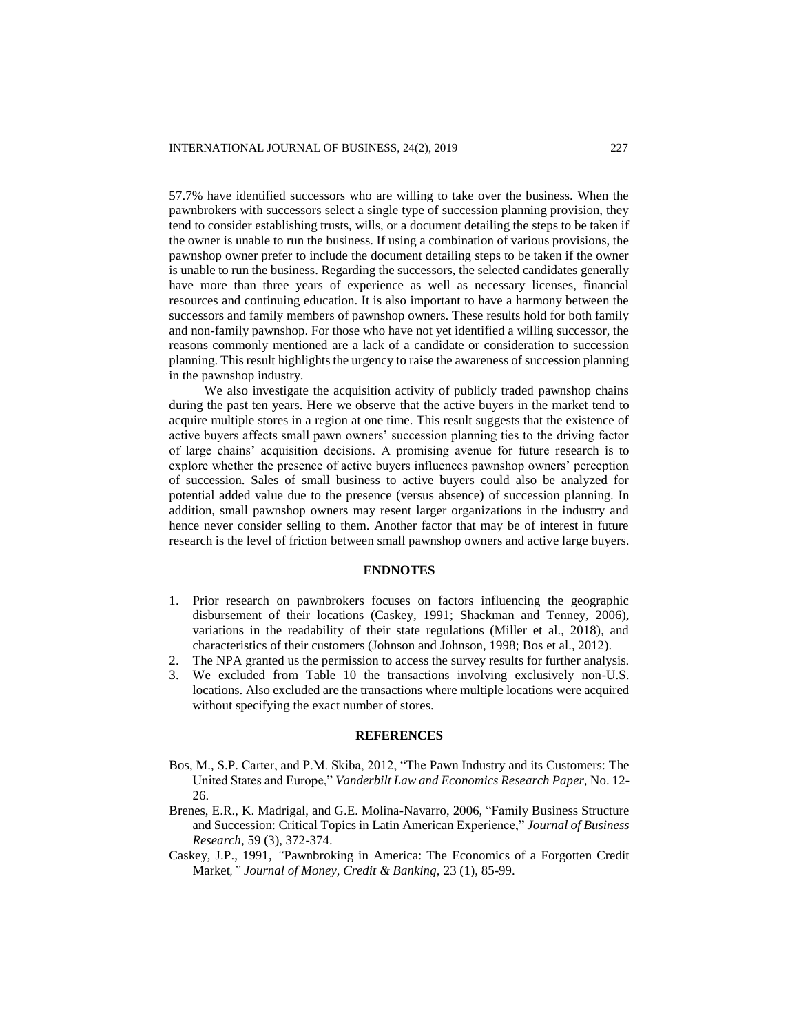57.7% have identified successors who are willing to take over the business. When the pawnbrokers with successors select a single type of succession planning provision, they tend to consider establishing trusts, wills, or a document detailing the steps to be taken if the owner is unable to run the business. If using a combination of various provisions, the pawnshop owner prefer to include the document detailing steps to be taken if the owner is unable to run the business. Regarding the successors, the selected candidates generally have more than three years of experience as well as necessary licenses, financial resources and continuing education. It is also important to have a harmony between the successors and family members of pawnshop owners. These results hold for both family and non-family pawnshop. For those who have not yet identified a willing successor, the reasons commonly mentioned are a lack of a candidate or consideration to succession planning. This result highlights the urgency to raise the awareness of succession planning in the pawnshop industry.

We also investigate the acquisition activity of publicly traded pawnshop chains during the past ten years. Here we observe that the active buyers in the market tend to acquire multiple stores in a region at one time. This result suggests that the existence of active buyers affects small pawn owners' succession planning ties to the driving factor of large chains' acquisition decisions. A promising avenue for future research is to explore whether the presence of active buyers influences pawnshop owners' perception of succession. Sales of small business to active buyers could also be analyzed for potential added value due to the presence (versus absence) of succession planning. In addition, small pawnshop owners may resent larger organizations in the industry and hence never consider selling to them. Another factor that may be of interest in future research is the level of friction between small pawnshop owners and active large buyers.

## **ENDNOTES**

- 1. Prior research on pawnbrokers focuses on factors influencing the geographic disbursement of their locations (Caskey, 1991; Shackman and Tenney, 2006), variations in the readability of their state regulations (Miller et al., 2018), and characteristics of their customers (Johnson and Johnson, 1998; Bos et al., 2012).
- 2. The NPA granted us the permission to access the survey results for further analysis.
- 3. We excluded from Table 10 the transactions involving exclusively non-U.S. locations. Also excluded are the transactions where multiple locations were acquired without specifying the exact number of stores.

#### **REFERENCES**

- Bos, M., S.P. Carter, and P.M. Skiba, 2012, "The Pawn Industry and its Customers: The United States and Europe," *Vanderbilt Law and Economics Research Paper,* No. 12- 26.
- Brenes, E.R., K. Madrigal, and G.E. Molina-Navarro, 2006, "Family Business Structure and Succession: Critical Topics in Latin American Experience," *Journal of Business Research*, 59 (3), 372-374.
- Caskey, J.P., 1991, *"*Pawnbroking in America: The Economics of a Forgotten Credit Market*," Journal of Money, Credit & Banking,* 23 (1), 85-99.